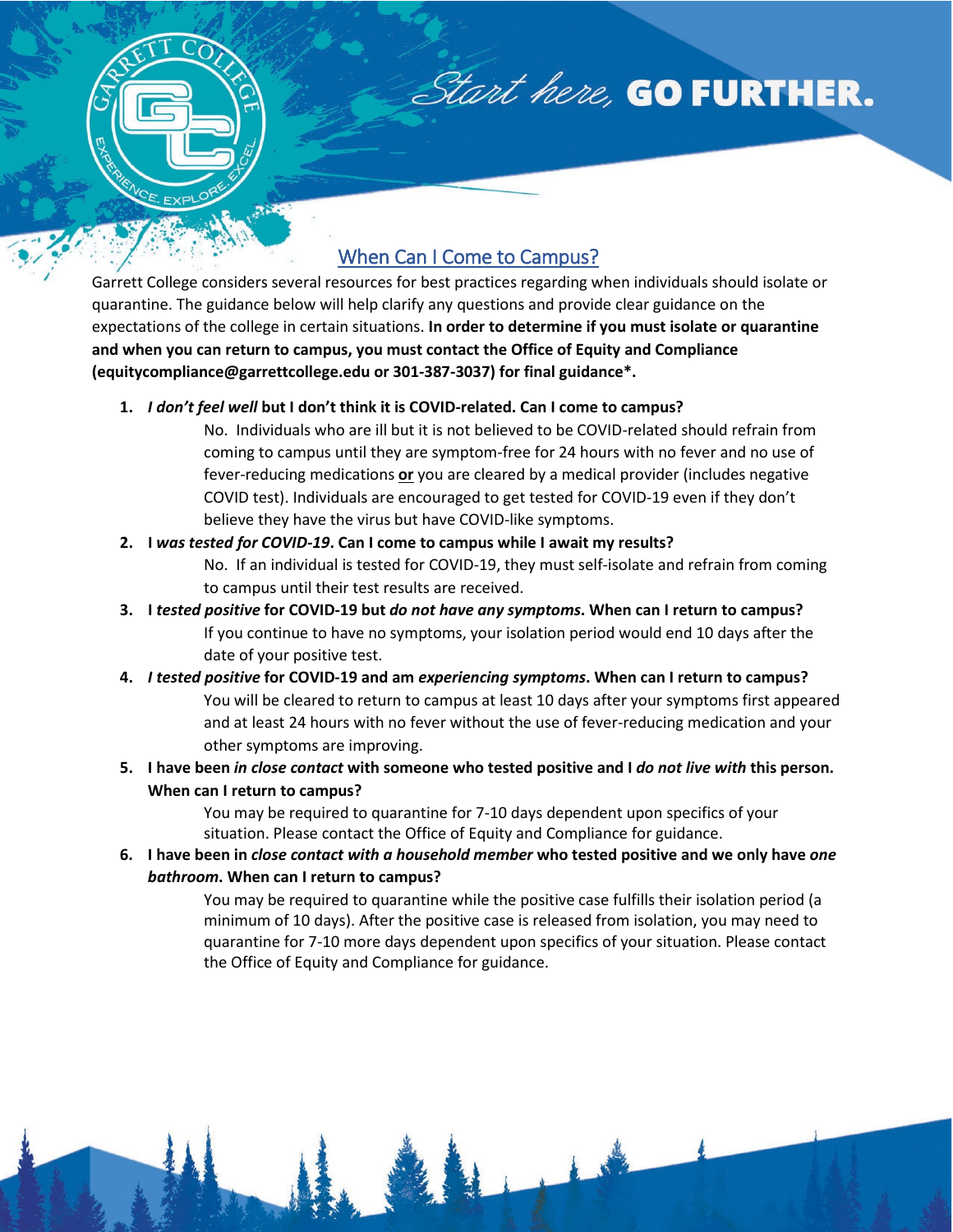

Start here, GO FURTHER.

## When Can I Come to Campus?

Garrett College considers several resources for best practices regarding when individuals should isolate or quarantine. The guidance below will help clarify any questions and provide clear guidance on the expectations of the college in certain situations. **In order to determine if you must isolate or quarantine and when you can return to campus, you must contact the Office of Equity and Compliance (equitycompliance@garrettcollege.edu or 301-387-3037) for final guidance\*.**

## **1.** *I don't feel well* **but I don't think it is COVID-related. Can I come to campus?**

No. Individuals who are ill but it is not believed to be COVID-related should refrain from coming to campus until they are symptom-free for 24 hours with no fever and no use of fever-reducing medications **or** you are cleared by a medical provider (includes negative COVID test). Individuals are encouraged to get tested for COVID-19 even if they don't believe they have the virus but have COVID-like symptoms.

- **2. I** *was tested for COVID-19***. Can I come to campus while I await my results?** No. If an individual is tested for COVID-19, they must self-isolate and refrain from coming to campus until their test results are received.
- **3. I** *tested positive* **for COVID-19 but** *do not have any symptoms***. When can I return to campus?** If you continue to have no symptoms, your isolation period would end 10 days after the date of your positive test.
- **4.** *I tested positive* **for COVID-19 and am** *experiencing symptoms***. When can I return to campus?** You will be cleared to return to campus at least 10 days after your symptoms first appeared and at least 24 hours with no fever without the use of fever-reducing medication and your other symptoms are improving.
- **5. I have been** *in close contact* **with someone who tested positive and I** *do not live with* **this person. When can I return to campus?**

You may be required to quarantine for 7-10 days dependent upon specifics of your situation. Please contact the Office of Equity and Compliance for guidance.

**6. I have been in** *close contact with a household member* **who tested positive and we only have** *one bathroom***. When can I return to campus?**

> You may be required to quarantine while the positive case fulfills their isolation period (a minimum of 10 days). After the positive case is released from isolation, you may need to quarantine for 7-10 more days dependent upon specifics of your situation. Please contact the Office of Equity and Compliance for guidance.